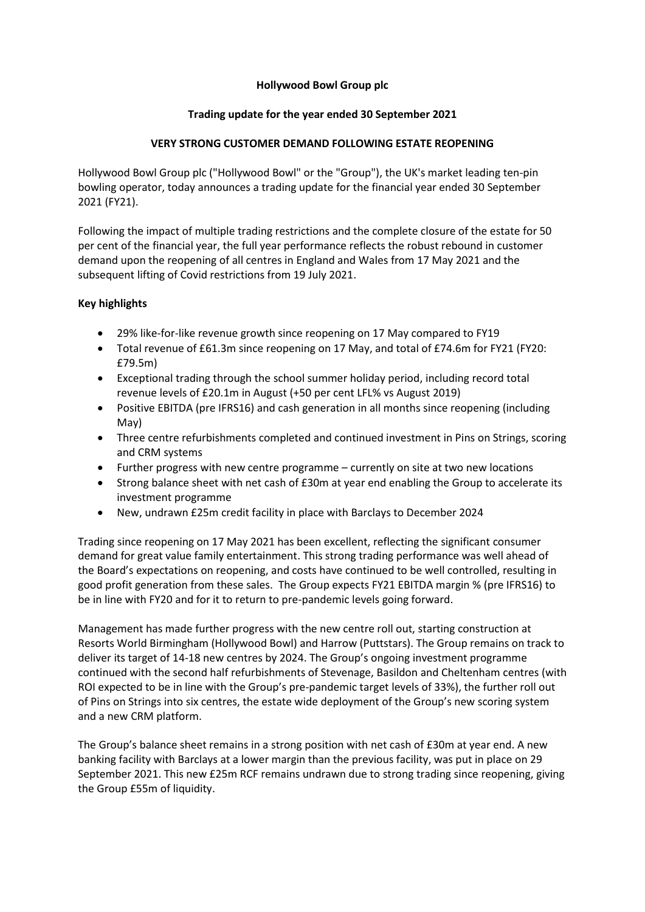## **Hollywood Bowl Group plc**

## **Trading update for the year ended 30 September 2021**

## **VERY STRONG CUSTOMER DEMAND FOLLOWING ESTATE REOPENING**

Hollywood Bowl Group plc ("Hollywood Bowl" or the "Group"), the UK's market leading ten-pin bowling operator, today announces a trading update for the financial year ended 30 September 2021 (FY21).

Following the impact of multiple trading restrictions and the complete closure of the estate for 50 per cent of the financial year, the full year performance reflects the robust rebound in customer demand upon the reopening of all centres in England and Wales from 17 May 2021 and the subsequent lifting of Covid restrictions from 19 July 2021.

# **Key highlights**

- 29% like-for-like revenue growth since reopening on 17 May compared to FY19
- Total revenue of £61.3m since reopening on 17 May, and total of £74.6m for FY21 (FY20: £79.5m)
- Exceptional trading through the school summer holiday period, including record total revenue levels of £20.1m in August (+50 per cent LFL% vs August 2019)
- Positive EBITDA (pre IFRS16) and cash generation in all months since reopening (including May)
- Three centre refurbishments completed and continued investment in Pins on Strings, scoring and CRM systems
- Further progress with new centre programme currently on site at two new locations
- Strong balance sheet with net cash of £30m at year end enabling the Group to accelerate its investment programme
- New, undrawn £25m credit facility in place with Barclays to December 2024

Trading since reopening on 17 May 2021 has been excellent, reflecting the significant consumer demand for great value family entertainment. This strong trading performance was well ahead of the Board's expectations on reopening, and costs have continued to be well controlled, resulting in good profit generation from these sales. The Group expects FY21 EBITDA margin % (pre IFRS16) to be in line with FY20 and for it to return to pre-pandemic levels going forward.

Management has made further progress with the new centre roll out, starting construction at Resorts World Birmingham (Hollywood Bowl) and Harrow (Puttstars). The Group remains on track to deliver its target of 14-18 new centres by 2024. The Group's ongoing investment programme continued with the second half refurbishments of Stevenage, Basildon and Cheltenham centres (with ROI expected to be in line with the Group's pre-pandemic target levels of 33%), the further roll out of Pins on Strings into six centres, the estate wide deployment of the Group's new scoring system and a new CRM platform.

The Group's balance sheet remains in a strong position with net cash of £30m at year end. A new banking facility with Barclays at a lower margin than the previous facility, was put in place on 29 September 2021. This new £25m RCF remains undrawn due to strong trading since reopening, giving the Group £55m of liquidity.